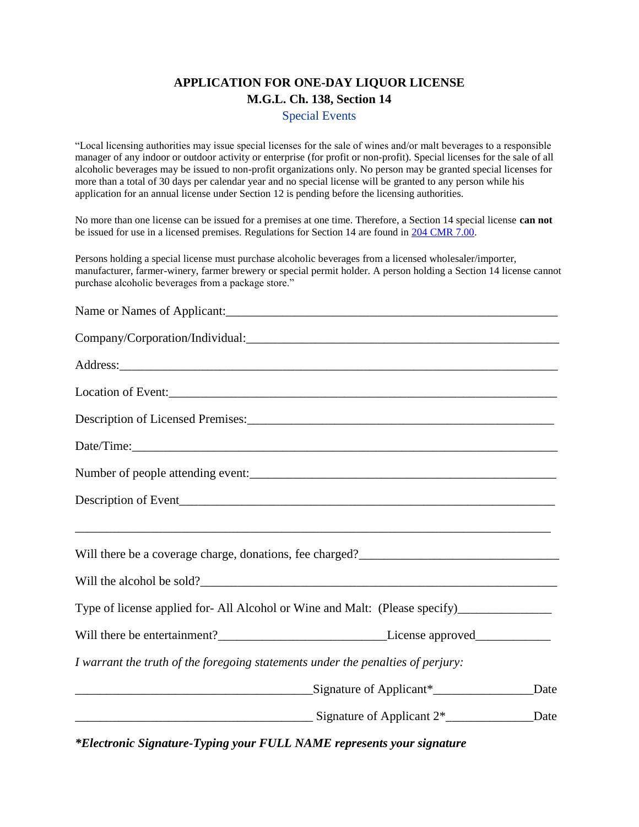## **APPLICATION FOR ONE-DAY LIQUOR LICENSE M.G.L. Ch. 138, Section 14**

Special Events

"Local licensing authorities may issue special licenses for the sale of wines and/or malt beverages to a responsible manager of any indoor or outdoor activity or enterprise (for profit or non-profit). Special licenses for the sale of all alcoholic beverages may be issued to non-profit organizations only. No person may be granted special licenses for more than a total of 30 days per calendar year and no special license will be granted to any person while his application for an annual license under Section 12 is pending before the licensing authorities.

No more than one license can be issued for a premises at one time. Therefore, a Section 14 special license **can not** be issued for use in a licensed premises. Regulations for Section 14 are found in [204 CMR 7.00.](http://www.mass.gov/abcc/administration/reg2040700.htm)

Persons holding a special license must purchase alcoholic beverages from a licensed wholesaler/importer, manufacturer, farmer-winery, farmer brewery or special permit holder. A person holding a Section 14 license cannot purchase alcoholic beverages from a package store."

| Company/Corporation/Individual: Company Corporation/Individual:                                                                                                        |      |
|------------------------------------------------------------------------------------------------------------------------------------------------------------------------|------|
|                                                                                                                                                                        |      |
| Location of Event:                                                                                                                                                     |      |
|                                                                                                                                                                        |      |
|                                                                                                                                                                        |      |
| Number of people attending event:                                                                                                                                      |      |
|                                                                                                                                                                        |      |
| ,我们也不能在这里的时候,我们也不能在这里的时候,我们也不能会在这里的时候,我们也不能会在这里的时候,我们也不能会在这里的时候,我们也不能会在这里的时候,我们也不<br>Will there be a coverage charge, donations, fee charged?_________________________ |      |
| Will the alcohol be sold?                                                                                                                                              |      |
| Type of license applied for-All Alcohol or Wine and Malt: (Please specify)__________________________                                                                   |      |
|                                                                                                                                                                        |      |
| I warrant the truth of the foregoing statements under the penalties of perjury:                                                                                        |      |
| Signature of Applicant*                                                                                                                                                | Date |
| $\frac{1}{\text{Sigma 2}}$ Signature of Applicant 2 <sup>*</sup>                                                                                                       | Date |

*\*Electronic Signature-Typing your FULL NAME represents your signature*